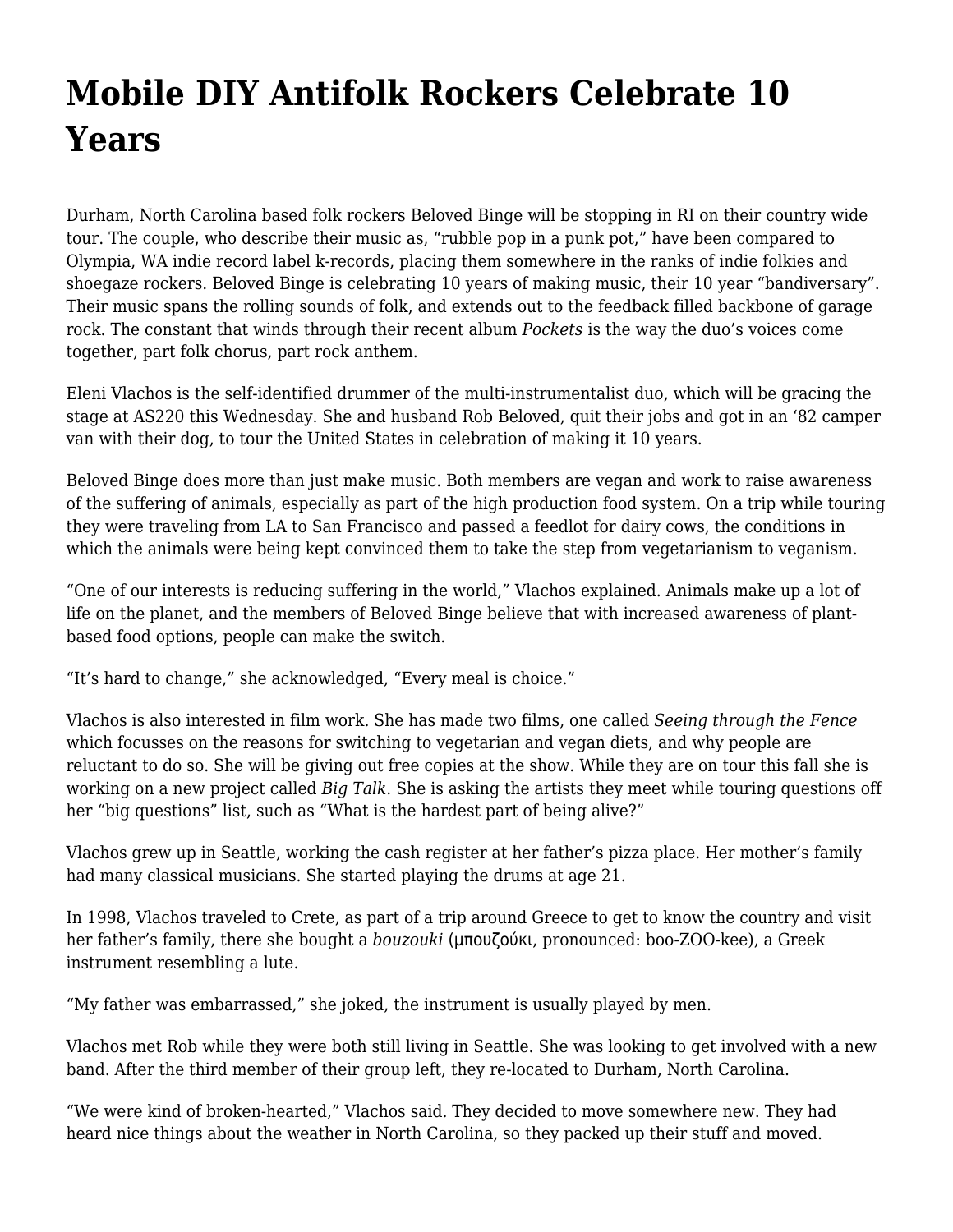## **[Mobile DIY Antifolk Rockers Celebrate 10](https://motifri.com/mobile-diy-folk-rockers-celebrate-10-years/) [Years](https://motifri.com/mobile-diy-folk-rockers-celebrate-10-years/)**

Durham, North Carolina based folk rockers Beloved Binge will be stopping in RI on their country wide tour. The couple, who describe their music as, "rubble pop in a punk pot," have been compared to Olympia, WA indie record label k-records, placing them somewhere in the ranks of indie folkies and shoegaze rockers. Beloved Binge is celebrating 10 years of making music, their 10 year "bandiversary". Their music spans the rolling sounds of folk, and extends out to the feedback filled backbone of garage rock. The constant that winds through their recent album *Pockets* is the way the duo's voices come together, part folk chorus, part rock anthem.

Eleni Vlachos is the self-identified drummer of the multi-instrumentalist duo, which will be gracing the stage at AS220 this Wednesday. She and husband Rob Beloved, quit their jobs and got in an '82 camper van with their dog, to tour the United States in celebration of making it 10 years.

Beloved Binge does more than just make music. Both members are vegan and work to raise awareness of the suffering of animals, especially as part of the high production food system. On a trip while touring they were traveling from LA to San Francisco and passed a feedlot for dairy cows, the conditions in which the animals were being kept convinced them to take the step from vegetarianism to veganism.

"One of our interests is reducing suffering in the world," Vlachos explained. Animals make up a lot of life on the planet, and the members of Beloved Binge believe that with increased awareness of plantbased food options, people can make the switch.

"It's hard to change," she acknowledged, "Every meal is choice."

Vlachos is also interested in film work. She has made two films, one called *Seeing through the Fence* which focusses on the reasons for switching to vegetarian and vegan diets, and why people are reluctant to do so. She will be giving out free copies at the show. While they are on tour this fall she is working on a new project called *Big Talk*. She is asking the artists they meet while touring questions off her "big questions" list, such as "What is the hardest part of being alive?"

Vlachos grew up in Seattle, working the cash register at her father's pizza place. Her mother's family had many classical musicians. She started playing the drums at age 21.

In 1998, Vlachos traveled to Crete, as part of a trip around Greece to get to know the country and visit her father's family, there she bought a *bouzouki* (μπουζούκι, pronounced: boo-ZOO-kee), a Greek instrument resembling a lute.

"My father was embarrassed," she joked, the instrument is usually played by men.

Vlachos met Rob while they were both still living in Seattle. She was looking to get involved with a new band. After the third member of their group left, they re-located to Durham, North Carolina.

"We were kind of broken-hearted," Vlachos said. They decided to move somewhere new. They had heard nice things about the weather in North Carolina, so they packed up their stuff and moved.